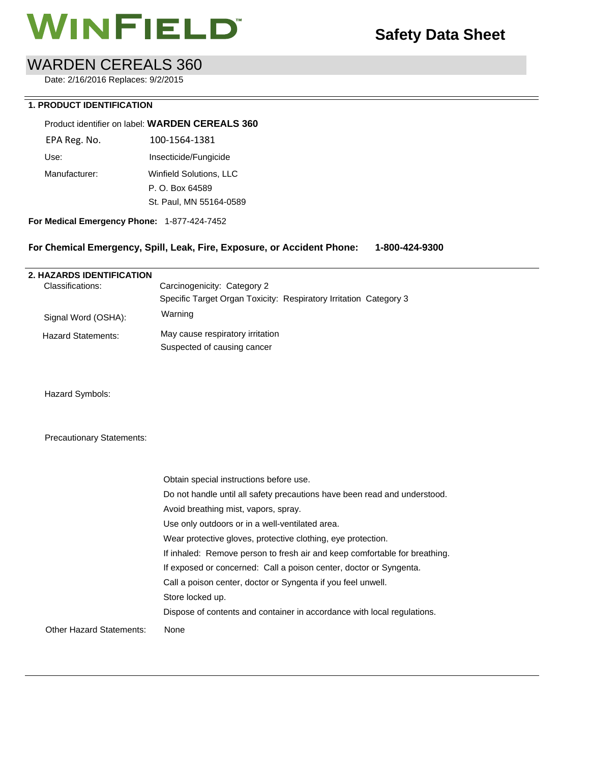# **WINFIELD**<sup>"</sup> Safety Data Sheet

## WARDEN CEREALS 360

Date: 2/16/2016 Replaces: 9/2/2015

### **1. PRODUCT IDENTIFICATION**

### Product identifier on label: **WARDEN CEREALS 360**

| EPA Reg. No.  | 100-1564-1381           |
|---------------|-------------------------|
| Use:          | Insecticide/Fungicide   |
| Manufacturer: | Winfield Solutions, LLC |
|               | P. O. Box 64589         |
|               | St. Paul, MN 55164-0589 |
|               |                         |

**For Medical Emergency Phone:** 1-877-424-7452

### **For Chemical Emergency, Spill, Leak, Fire, Exposure, or Accident Phone: 1-800-424-9300**

### **2. HAZARDS IDENTIFICATION**  Classifications: Signal Word (OSHA): Hazard Statements: Carcinogenicity: Category 2 Specific Target Organ Toxicity: Respiratory Irritation Category 3 Warning May cause respiratory irritation Suspected of causing cancer

Hazard Symbols:

### Precautionary Statements:

|                                 | Obtain special instructions before use.                                    |
|---------------------------------|----------------------------------------------------------------------------|
|                                 | Do not handle until all safety precautions have been read and understood.  |
|                                 | Avoid breathing mist, vapors, spray.                                       |
|                                 | Use only outdoors or in a well-ventilated area.                            |
|                                 | Wear protective gloves, protective clothing, eye protection.               |
|                                 | If inhaled: Remove person to fresh air and keep comfortable for breathing. |
|                                 | If exposed or concerned: Call a poison center, doctor or Syngenta.         |
|                                 | Call a poison center, doctor or Syngenta if you feel unwell.               |
|                                 | Store locked up.                                                           |
|                                 | Dispose of contents and container in accordance with local regulations.    |
| <b>Other Hazard Statements:</b> | None                                                                       |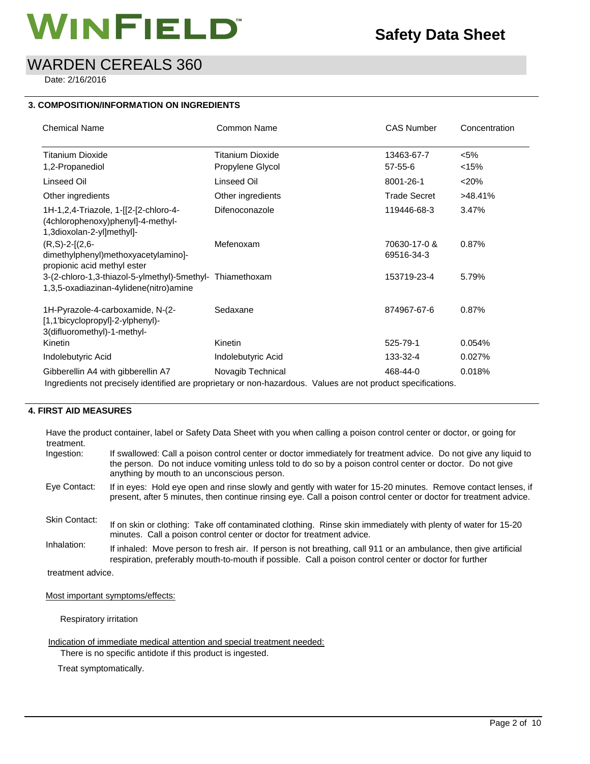# **MINFIELD**<sup>\*</sup> Safety Data Sheet

## WARDEN CEREALS 360

Date: 2/16/2016

### **3. COMPOSITION/INFORMATION ON INGREDIENTS**

| <b>Chemical Name</b>                                                                                          | Common Name        | <b>CAS Number</b>          | Concentration |
|---------------------------------------------------------------------------------------------------------------|--------------------|----------------------------|---------------|
| <b>Titanium Dioxide</b>                                                                                       | Titanium Dioxide   | 13463-67-7                 | $< 5\%$       |
| 1,2-Propanediol                                                                                               | Propylene Glycol   | 57-55-6                    | <15%          |
| Linseed Oil                                                                                                   | Linseed Oil        | 8001-26-1                  | < 20%         |
| Other ingredients                                                                                             | Other ingredients  | <b>Trade Secret</b>        | >48.41%       |
| 1H-1,2,4-Triazole, 1-[[2-[2-chloro-4-<br>(4chlorophenoxy)phenyl]-4-methyl-<br>1,3dioxolan-2-yl]methyl]-       | Difenoconazole     | 119446-68-3                | 3.47%         |
| $(R, S)-2-[2, 6-$<br>dimethylphenyl)methoxyacetylamino]-<br>propionic acid methyl ester                       | Mefenoxam          | 70630-17-0 &<br>69516-34-3 | 0.87%         |
| 3-(2-chloro-1,3-thiazol-5-ylmethyl)-5methyl- Thiamethoxam<br>1,3,5-oxadiazinan-4ylidene(nitro)amine           |                    | 153719-23-4                | 5.79%         |
| 1H-Pyrazole-4-carboxamide, N-(2-<br>[1,1'bicyclopropyl]-2-ylphenyl)-<br>3(difluoromethyl)-1-methyl-           | Sedaxane           | 874967-67-6                | 0.87%         |
| Kinetin                                                                                                       | Kinetin            | 525-79-1                   | 0.054%        |
| Indolebutyric Acid                                                                                            | Indolebutyric Acid | 133-32-4                   | 0.027%        |
| Gibberellin A4 with gibberellin A7                                                                            | Novagib Technical  | 468-44-0                   | 0.018%        |
| Ingredients not precisely identified are proprietary or non-hazardous. Values are not product specifications. |                    |                            |               |

### **4. FIRST AID MEASURES**

Have the product container, label or Safety Data Sheet with you when calling a poison control center or doctor, or going for treatment. Ingestion: If swallowed: Call a poison control center or doctor immediately for treatment advice. Do not give any liquid to

| <b>INGESHOLL</b>     | IT SWAIDWED. CAIL A DOISON CONTOC CENTER OF GOCIOL INTINEGRATIVE TO HEATTHEIT ADVICE. DO NOT GIVE ANY IIQUID TO<br>the person. Do not induce vomiting unless told to do so by a poison control center or doctor. Do not give<br>anything by mouth to an unconscious person. |
|----------------------|-----------------------------------------------------------------------------------------------------------------------------------------------------------------------------------------------------------------------------------------------------------------------------|
| Eye Contact:         | If in eyes: Hold eye open and rinse slowly and gently with water for 15-20 minutes. Remove contact lenses, if<br>present, after 5 minutes, then continue rinsing eye. Call a poison control center or doctor for treatment advice.                                          |
| <b>Skin Contact:</b> | If on skin or clothing: Take off contaminated clothing. Rinse skin immediately with plenty of water for 15-20<br>minutes. Call a poison control center or doctor for treatment advice.                                                                                      |
| Inhalation:          | If inhaled: Move person to fresh air. If person is not breathing, call 911 or an ambulance, then give artificial<br>respiration, preferably mouth-to-mouth if possible. Call a poison control center or doctor for further                                                  |

treatment advice.

Most important symptoms/effects:

Respiratory irritation

Indication of immediate medical attention and special treatment needed:

There is no specific antidote if this product is ingested.

Treat symptomatically.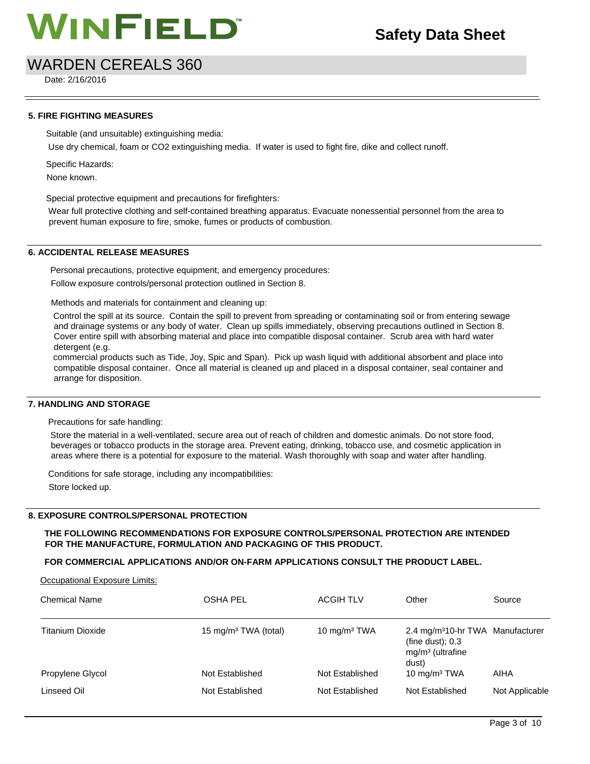## WARDEN CEREALS 360

Date: 2/16/2016

### **5. FIRE FIGHTING MEASURES**

Suitable (and unsuitable) extinguishing media:

Use dry chemical, foam or CO2 extinguishing media. If water is used to fight fire, dike and collect runoff.

Specific Hazards:

None known.

Special protective equipment and precautions for firefighters:

Wear full protective clothing and self-contained breathing apparatus. Evacuate nonessential personnel from the area to prevent human exposure to fire, smoke, fumes or products of combustion.

### **6. ACCIDENTAL RELEASE MEASURES**

Personal precautions, protective equipment, and emergency procedures: Follow exposure controls/personal protection outlined in Section 8.

Methods and materials for containment and cleaning up:

Control the spill at its source. Contain the spill to prevent from spreading or contaminating soil or from entering sewage and drainage systems or any body of water. Clean up spills immediately, observing precautions outlined in Section 8. Cover entire spill with absorbing material and place into compatible disposal container. Scrub area with hard water detergent (e.g.

commercial products such as Tide, Joy, Spic and Span). Pick up wash liquid with additional absorbent and place into compatible disposal container. Once all material is cleaned up and placed in a disposal container, seal container and arrange for disposition.

### **7. HANDLING AND STORAGE**

Precautions for safe handling:

Store the material in a well-ventilated, secure area out of reach of children and domestic animals. Do not store food, beverages or tobacco products in the storage area. Prevent eating, drinking, tobacco use, and cosmetic application in areas where there is a potential for exposure to the material. Wash thoroughly with soap and water after handling.

Conditions for safe storage, including any incompatibilities:

Store locked up.

### **8. EXPOSURE CONTROLS/PERSONAL PROTECTION**

### **THE FOLLOWING RECOMMENDATIONS FOR EXPOSURE CONTROLS/PERSONAL PROTECTION ARE INTENDED FOR THE MANUFACTURE, FORMULATION AND PACKAGING OF THIS PRODUCT.**

### **FOR COMMERCIAL APPLICATIONS AND/OR ON-FARM APPLICATIONS CONSULT THE PRODUCT LABEL.**

### Occupational Exposure Limits:

| <b>Chemical Name</b> | OSHA PEL                         | <b>ACGIH TLV</b> | Other                                                                                             | Source         |
|----------------------|----------------------------------|------------------|---------------------------------------------------------------------------------------------------|----------------|
| Titanium Dioxide     | 15 mg/m <sup>3</sup> TWA (total) | 10 $mg/m3 TWA$   | 2.4 mg/m <sup>3</sup> 10-hr TWA Manufacturer<br>(fine dust); $0.3$<br>$mg/m3$ (ultrafine<br>dust) |                |
| Propylene Glycol     | Not Established                  | Not Established  | 10 mg/m <sup>3</sup> TWA                                                                          | AIHA           |
| Linseed Oil          | Not Established                  | Not Established  | Not Established                                                                                   | Not Applicable |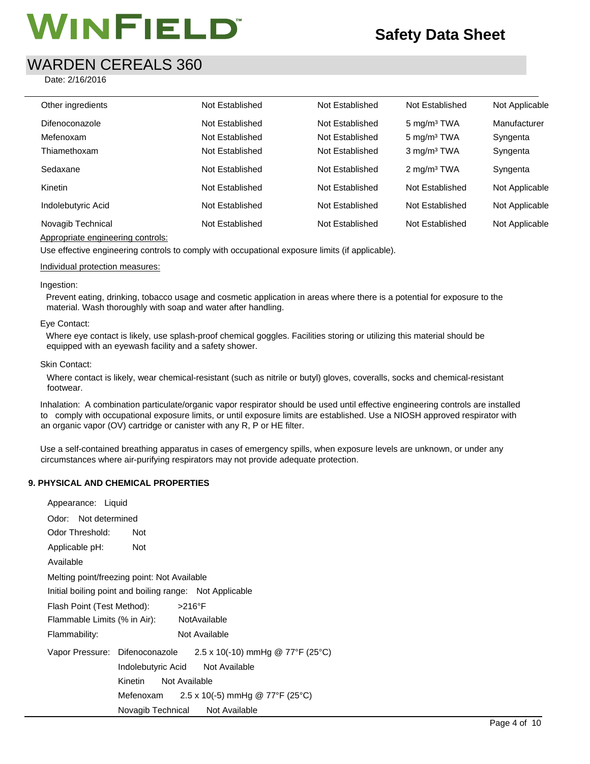## WARDEN CEREALS 360

Date: 2/16/2016

| Other ingredients<br>Not Established<br>Not Established<br>Not Established<br>Not Established<br>Not Established<br>5 mg/m <sup>3</sup> TWA<br>Difenoconazole<br>Manufacturer<br>5 mg/m <sup>3</sup> TWA<br>Not Established<br>Not Established<br>Mefenoxam<br>Syngenta<br>Not Established<br>3 mg/m <sup>3</sup> TWA<br>Thiamethoxam<br>Not Established<br>Syngenta<br>Sedaxane<br>Not Established<br>Not Established<br>2 mg/m <sup>3</sup> TWA<br>Syngenta<br>Not Established<br>Kinetin<br>Not Established<br>Not Established<br>Indolebutyric Acid<br>Not Established<br>Not Established<br>Not Established<br>Novagib Technical<br>Not Established<br>Not Established<br>Not Established |  |  |                |
|------------------------------------------------------------------------------------------------------------------------------------------------------------------------------------------------------------------------------------------------------------------------------------------------------------------------------------------------------------------------------------------------------------------------------------------------------------------------------------------------------------------------------------------------------------------------------------------------------------------------------------------------------------------------------------------------|--|--|----------------|
|                                                                                                                                                                                                                                                                                                                                                                                                                                                                                                                                                                                                                                                                                                |  |  | Not Applicable |
|                                                                                                                                                                                                                                                                                                                                                                                                                                                                                                                                                                                                                                                                                                |  |  |                |
|                                                                                                                                                                                                                                                                                                                                                                                                                                                                                                                                                                                                                                                                                                |  |  |                |
|                                                                                                                                                                                                                                                                                                                                                                                                                                                                                                                                                                                                                                                                                                |  |  |                |
|                                                                                                                                                                                                                                                                                                                                                                                                                                                                                                                                                                                                                                                                                                |  |  |                |
|                                                                                                                                                                                                                                                                                                                                                                                                                                                                                                                                                                                                                                                                                                |  |  | Not Applicable |
|                                                                                                                                                                                                                                                                                                                                                                                                                                                                                                                                                                                                                                                                                                |  |  | Not Applicable |
|                                                                                                                                                                                                                                                                                                                                                                                                                                                                                                                                                                                                                                                                                                |  |  | Not Applicable |

### Appropriate engineering controls:

Use effective engineering controls to comply with occupational exposure limits (if applicable).

### Individual protection measures:

### Ingestion:

Prevent eating, drinking, tobacco usage and cosmetic application in areas where there is a potential for exposure to the material. Wash thoroughly with soap and water after handling.

### Eye Contact:

Where eye contact is likely, use splash-proof chemical goggles. Facilities storing or utilizing this material should be equipped with an eyewash facility and a safety shower.

### Skin Contact:

Where contact is likely, wear chemical-resistant (such as nitrile or butyl) gloves, coveralls, socks and chemical-resistant footwear.

Inhalation: A combination particulate/organic vapor respirator should be used until effective engineering controls are installed to comply with occupational exposure limits, or until exposure limits are established. Use a NIOSH approved respirator with an organic vapor (OV) cartridge or canister with any R, P or HE filter.

Use a self-contained breathing apparatus in cases of emergency spills, when exposure levels are unknown, or under any circumstances where air-purifying respirators may not provide adequate protection.

### **9. PHYSICAL AND CHEMICAL PROPERTIES**

Appearance: Liquid

| Appearance. Liquid                           |                                                         |                                         |  |
|----------------------------------------------|---------------------------------------------------------|-----------------------------------------|--|
| Odor: Not determined                         |                                                         |                                         |  |
| Odor Threshold:                              | <b>Not</b>                                              |                                         |  |
| Applicable pH:                               | <b>Not</b>                                              |                                         |  |
| Available                                    |                                                         |                                         |  |
|                                              | Melting point/freezing point: Not Available             |                                         |  |
|                                              | Initial boiling point and boiling range: Not Applicable |                                         |  |
| $>216^\circ F$<br>Flash Point (Test Method): |                                                         |                                         |  |
| Flammable Limits (% in Air):                 |                                                         | NotAvailable                            |  |
| Flammability:                                |                                                         | Not Available                           |  |
|                                              | Vapor Pressure: Difenoconazole                          | $2.5 \times 10(-10)$ mmHg @ 77°F (25°C) |  |
|                                              | Indolebutyric Acid                                      | Not Available                           |  |
|                                              | Kinetin                                                 | Not Available                           |  |
|                                              | Mefenoxam                                               | 2.5 x 10(-5) mmHg @ 77°F (25°C)         |  |
|                                              | Novagib Technical                                       | Not Available                           |  |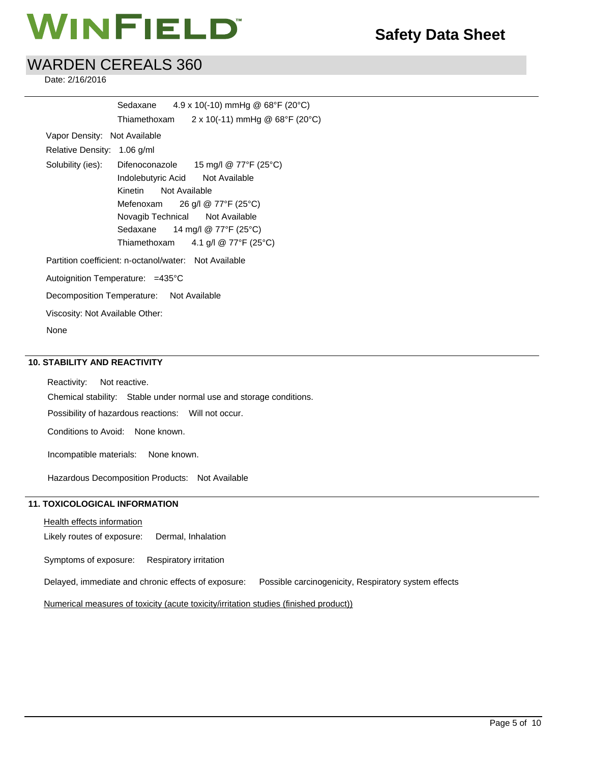# **MINFIELD**<sup>\*</sup> Safety Data Sheet

## WARDEN CEREALS 360

Date: 2/16/2016

|                                  | Sedaxane                                              | $4.9 \times 10(-10)$ mmHg @ 68°F (20°C)                         |
|----------------------------------|-------------------------------------------------------|-----------------------------------------------------------------|
|                                  | Thiamethoxam                                          | $2 \times 10(-11)$ mmHg @ 68°F (20°C)                           |
| Vapor Density: Not Available     |                                                       |                                                                 |
| Relative Density: 1.06 g/ml      |                                                       |                                                                 |
|                                  |                                                       | Solubility (ies): Difenoconazole 15 mg/l @ 77°F (25°C)          |
|                                  | Indolebutyric Acid Not Available                      |                                                                 |
|                                  | Kinetin Not Available                                 |                                                                 |
|                                  |                                                       | Mefenoxam $26$ g/l @ 77°F (25°C)                                |
|                                  | Novagib Technical Not Available                       |                                                                 |
|                                  |                                                       | Sedaxane $14 \text{ mg/l} \text{ @ } 77^{\circ}F (25^{\circ}C)$ |
|                                  |                                                       | Thiamethoxam $4.1$ g/l @ 77°F (25°C)                            |
|                                  | Partition coefficient: n-octanol/water: Not Available |                                                                 |
| Autoignition Temperature: =435°C |                                                       |                                                                 |
|                                  | Decomposition Temperature: Not Available              |                                                                 |
| Viscosity: Not Available Other:  |                                                       |                                                                 |
| None                             |                                                       |                                                                 |

### **10. STABILITY AND REACTIVITY**

Reactivity: Not reactive. Chemical stability: Stable under normal use and storage conditions. Possibility of hazardous reactions: Will not occur. Conditions to Avoid: None known. Incompatible materials: None known. Hazardous Decomposition Products: Not Available

### **11. TOXICOLOGICAL INFORMATION**

**Health effects information** 

Likely routes of exposure: Dermal, Inhalation

Symptoms of exposure: Respiratory irritation

Delayed, immediate and chronic effects of exposure: Possible carcinogenicity, Respiratory system effects

Numerical measures of toxicity (acute toxicity/irritation studies (finished product))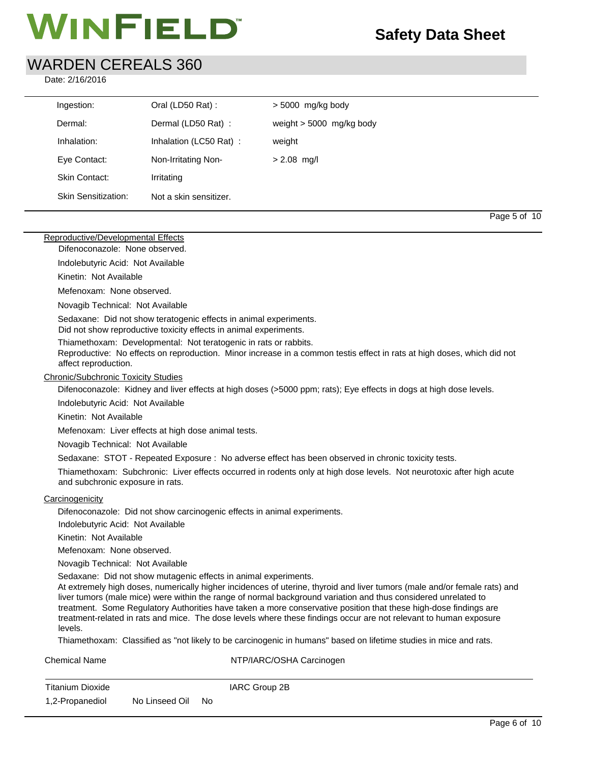## WARDEN CEREALS 360

Date: 2/16/2016

| Ingestion:          | Oral (LD50 Rat):       | $>$ 5000 mg/kg body        |
|---------------------|------------------------|----------------------------|
| Dermal:             | Dermal (LD50 Rat):     | weight $> 5000$ mg/kg body |
| Inhalation:         | Inhalation (LC50 Rat): | weight                     |
| Eye Contact:        | Non-Irritating Non-    | $> 2.08$ mg/l              |
| Skin Contact:       | Irritating             |                            |
| Skin Sensitization: | Not a skin sensitizer. |                            |

Page 5 of 10  $\,$  Page 5 of 10  $\,$ 

### Reproductive/Developmental Effects

Difenoconazole: None observed.

Indolebutyric Acid: Not Available

Kinetin: Not Available

Mefenoxam: None observed.

Novagib Technical: Not Available

Sedaxane: Did not show teratogenic effects in animal experiments. Did not show reproductive toxicity effects in animal experiments.

Thiamethoxam: Developmental: Not teratogenic in rats or rabbits.

Reproductive: No effects on reproduction. Minor increase in a common testis effect in rats at high doses, which did not affect reproduction.

### Chronic/Subchronic Toxicity Studies

Difenoconazole: Kidney and liver effects at high doses (>5000 ppm; rats); Eye effects in dogs at high dose levels.

Indolebutyric Acid: Not Available

Kinetin: Not Available

Mefenoxam: Liver effects at high dose animal tests.

Novagib Technical: Not Available

Sedaxane: STOT - Repeated Exposure : No adverse effect has been observed in chronic toxicity tests.

Thiamethoxam: Subchronic: Liver effects occurred in rodents only at high dose levels. Not neurotoxic after high acute and subchronic exposure in rats.

### **Carcinogenicity**

Difenoconazole: Did not show carcinogenic effects in animal experiments.

Indolebutyric Acid: Not Available

Kinetin: Not Available

Mefenoxam: None observed.

Novagib Technical: Not Available

Sedaxane: Did not show mutagenic effects in animal experiments.

Chemical Name NTP/IARC/OSHA Carcinogen

At extremely high doses, numerically higher incidences of uterine, thyroid and liver tumors (male and/or female rats) and liver tumors (male mice) were within the range of normal background variation and thus considered unrelated to treatment. Some Regulatory Authorities have taken a more conservative position that these high-dose findings are treatment-related in rats and mice. The dose levels where these findings occur are not relevant to human exposure levels.

Thiamethoxam: Classified as "not likely to be carcinogenic in humans" based on lifetime studies in mice and rats.

| Chemical Name    |                   | <b>INTP/IARG/USHA Gardinogen</b> |
|------------------|-------------------|----------------------------------|
| Titanium Dioxide |                   | IARC Group 2B                    |
| 1,2-Propanediol  | No Linseed Oil No |                                  |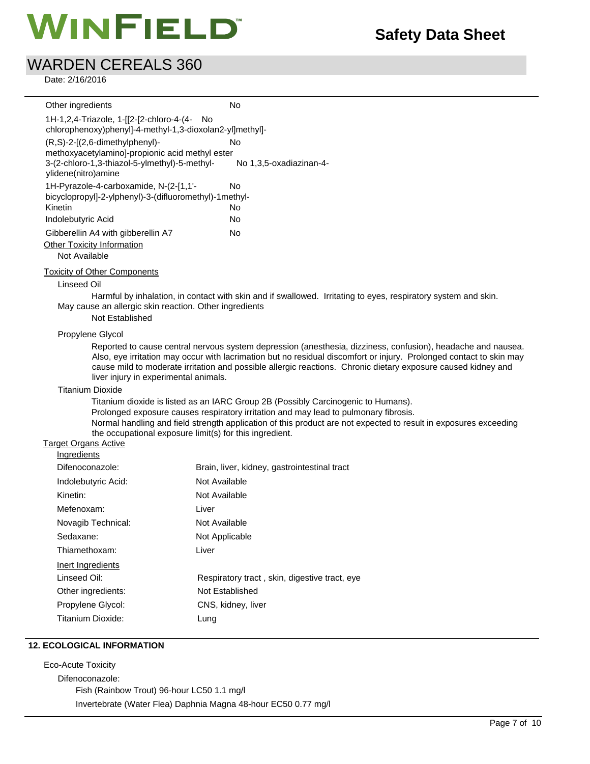# **MINFIELD**<sup>\*</sup> Safety Data Sheet

## WARDEN CEREALS 360

Date: 2/16/2016

| Other ingredients                                                                                                                                         | No                                                                                                                                                                                                                                                                                                                                                   |
|-----------------------------------------------------------------------------------------------------------------------------------------------------------|------------------------------------------------------------------------------------------------------------------------------------------------------------------------------------------------------------------------------------------------------------------------------------------------------------------------------------------------------|
| 1H-1,2,4-Triazole, 1-[[2-[2-chloro-4-(4- No                                                                                                               |                                                                                                                                                                                                                                                                                                                                                      |
| chlorophenoxy)phenyl]-4-methyl-1,3-dioxolan2-yl]methyl]-                                                                                                  |                                                                                                                                                                                                                                                                                                                                                      |
| (R,S)-2-[(2,6-dimethylphenyl)-<br>methoxyacetylamino]-propionic acid methyl ester<br>3-(2-chloro-1,3-thiazol-5-ylmethyl)-5-methyl-<br>ylidene(nitro)amine | No<br>No 1,3,5-oxadiazinan-4-                                                                                                                                                                                                                                                                                                                        |
| 1H-Pyrazole-4-carboxamide, N-(2-[1,1'-                                                                                                                    | No                                                                                                                                                                                                                                                                                                                                                   |
| bicyclopropyl]-2-ylphenyl)-3-(difluoromethyl)-1methyl-                                                                                                    |                                                                                                                                                                                                                                                                                                                                                      |
| Kinetin                                                                                                                                                   | No                                                                                                                                                                                                                                                                                                                                                   |
| Indolebutyric Acid                                                                                                                                        | No                                                                                                                                                                                                                                                                                                                                                   |
| Gibberellin A4 with gibberellin A7                                                                                                                        | No                                                                                                                                                                                                                                                                                                                                                   |
| Other Toxicity Information                                                                                                                                |                                                                                                                                                                                                                                                                                                                                                      |
| Not Available                                                                                                                                             |                                                                                                                                                                                                                                                                                                                                                      |
| <b>Toxicity of Other Components</b>                                                                                                                       |                                                                                                                                                                                                                                                                                                                                                      |
| Linseed Oil                                                                                                                                               |                                                                                                                                                                                                                                                                                                                                                      |
| May cause an allergic skin reaction. Other ingredients<br>Not Established                                                                                 | Harmful by inhalation, in contact with skin and if swallowed. Irritating to eyes, respiratory system and skin.                                                                                                                                                                                                                                       |
| Propylene Glycol                                                                                                                                          |                                                                                                                                                                                                                                                                                                                                                      |
| liver injury in experimental animals.                                                                                                                     | Reported to cause central nervous system depression (anesthesia, dizziness, confusion), headache and nausea.<br>Also, eye irritation may occur with lacrimation but no residual discomfort or injury. Prolonged contact to skin may<br>cause mild to moderate irritation and possible allergic reactions. Chronic dietary exposure caused kidney and |
| <b>Titanium Dioxide</b>                                                                                                                                   |                                                                                                                                                                                                                                                                                                                                                      |
| the occupational exposure limit(s) for this ingredient.                                                                                                   | Titanium dioxide is listed as an IARC Group 2B (Possibly Carcinogenic to Humans).<br>Prolonged exposure causes respiratory irritation and may lead to pulmonary fibrosis.<br>Normal handling and field strength application of this product are not expected to result in exposures exceeding                                                        |
| Target Organs Active                                                                                                                                      |                                                                                                                                                                                                                                                                                                                                                      |
| Ingredients                                                                                                                                               |                                                                                                                                                                                                                                                                                                                                                      |
| Difenoconazole:                                                                                                                                           | Brain, liver, kidney, gastrointestinal tract                                                                                                                                                                                                                                                                                                         |
| Indolebutyric Acid:                                                                                                                                       | Not Available                                                                                                                                                                                                                                                                                                                                        |
| Kinetin:                                                                                                                                                  | Not Available                                                                                                                                                                                                                                                                                                                                        |
| Mefenoxam:                                                                                                                                                | Liver                                                                                                                                                                                                                                                                                                                                                |
| Novagib Technical:                                                                                                                                        | Not Available                                                                                                                                                                                                                                                                                                                                        |
| Sedaxane:                                                                                                                                                 | Not Applicable                                                                                                                                                                                                                                                                                                                                       |
| Thiamethoxam:                                                                                                                                             | Liver                                                                                                                                                                                                                                                                                                                                                |
| ومقامرها المتمام ومستعمل القوامر وبال                                                                                                                     |                                                                                                                                                                                                                                                                                                                                                      |

| <b>III</b> III GUIGHIO |                                               |
|------------------------|-----------------------------------------------|
| Difenoconazole:        | Brain, liver, kidney, gastrointestinal tract  |
| Indolebutyric Acid:    | Not Available                                 |
| Kinetin:               | Not Available                                 |
| Mefenoxam:             | Liver                                         |
| Novagib Technical:     | Not Available                                 |
| Sedaxane:              | Not Applicable                                |
| Thiamethoxam:          | Liver                                         |
| Inert Ingredients      |                                               |
| Linseed Oil:           | Respiratory tract, skin, digestive tract, eye |
| Other ingredients:     | Not Established                               |
| Propylene Glycol:      | CNS, kidney, liver                            |
| Titanium Dioxide:      | Lung                                          |
|                        |                                               |

### **12. ECOLOGICAL INFORMATION**

Eco-Acute Toxicity Difenoconazole: Fish (Rainbow Trout) 96-hour LC50 1.1 mg/l Invertebrate (Water Flea) Daphnia Magna 48-hour EC50 0.77 mg/l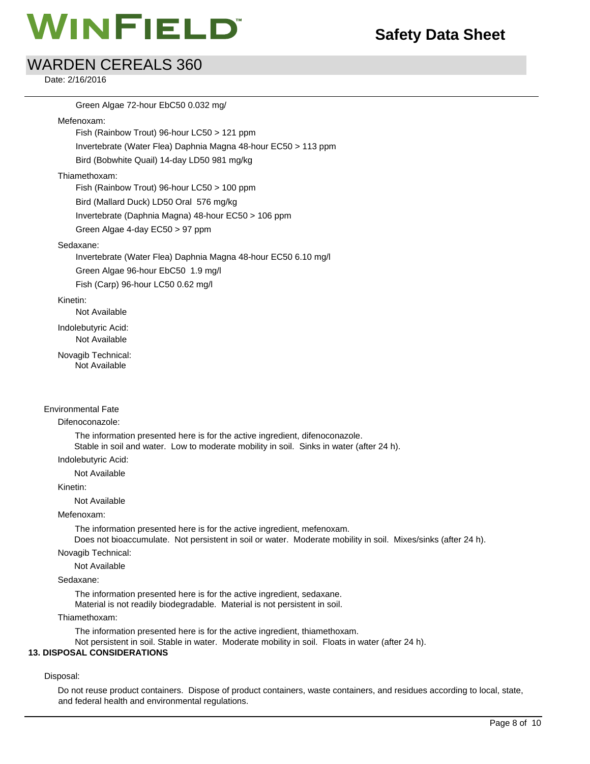## WARDEN CEREALS 360

Date: 2/16/2016

Green Algae 72-hour EbC50 0.032 mg/ Mefenoxam: Fish (Rainbow Trout) 96-hour LC50 > 121 ppm Invertebrate (Water Flea) Daphnia Magna 48-hour EC50 > 113 ppm Bird (Bobwhite Quail) 14-day LD50 981 mg/kg

### Thiamethoxam:

Fish (Rainbow Trout) 96-hour LC50 > 100 ppm Bird (Mallard Duck) LD50 Oral 576 mg/kg

Invertebrate (Daphnia Magna) 48-hour EC50 > 106 ppm

Green Algae 4-day EC50 > 97 ppm

### Sedaxane:

Invertebrate (Water Flea) Daphnia Magna 48-hour EC50 6.10 mg/l Green Algae 96-hour EbC50 1.9 mg/l

Fish (Carp) 96-hour LC50 0.62 mg/l

### Kinetin:

Not Available

Indolebutyric Acid:

Not Available

Novagib Technical: Not Available

### Environmental Fate

### Difenoconazole:

The information presented here is for the active ingredient, difenoconazole. Stable in soil and water. Low to moderate mobility in soil. Sinks in water (after 24 h).

Indolebutyric Acid:

Not Available

### Kinetin:

Not Available

### Mefenoxam:

The information presented here is for the active ingredient, mefenoxam.

Does not bioaccumulate. Not persistent in soil or water. Moderate mobility in soil. Mixes/sinks (after 24 h).

Novagib Technical:

Not Available

### Sedaxane:

The information presented here is for the active ingredient, sedaxane. Material is not readily biodegradable. Material is not persistent in soil.

Thiamethoxam:

The information presented here is for the active ingredient, thiamethoxam.

Not persistent in soil. Stable in water. Moderate mobility in soil. Floats in water (after 24 h).

### **13. DISPOSAL CONSIDERATIONS**

### Disposal:

Do not reuse product containers. Dispose of product containers, waste containers, and residues according to local, state, and federal health and environmental regulations.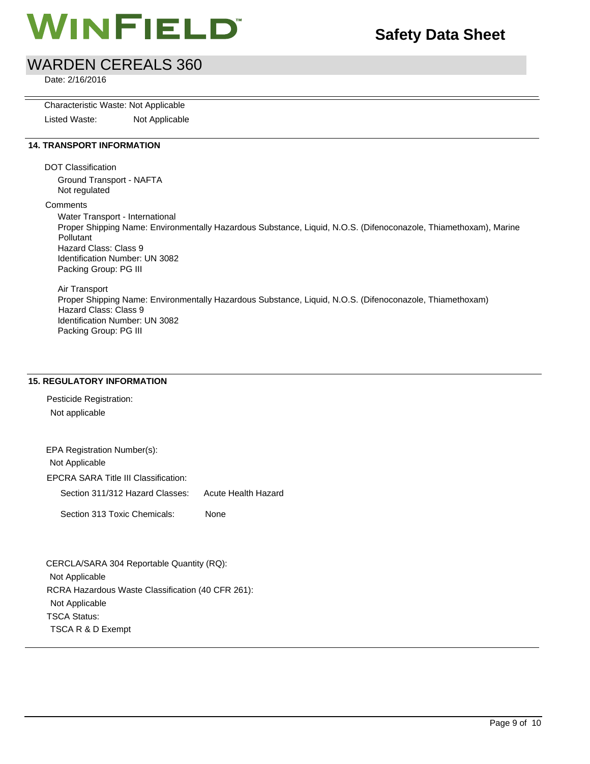

## WARDEN CEREALS 360

Date: 2/16/2016

Characteristic Waste: Not Applicable

Listed Waste: Not Applicable

### **14. TRANSPORT INFORMATION**

DOT Classification

Ground Transport - NAFTA Not regulated

**Comments** 

Water Transport - International Proper Shipping Name: Environmentally Hazardous Substance, Liquid, N.O.S. (Difenoconazole, Thiamethoxam), Marine Pollutant Hazard Class: Class 9 Identification Number: UN 3082 Packing Group: PG III

Air Transport Proper Shipping Name: Environmentally Hazardous Substance, Liquid, N.O.S. (Difenoconazole, Thiamethoxam) Hazard Class: Class 9 Identification Number: UN 3082 Packing Group: PG III

### **15. REGULATORY INFORMATION**

Pesticide Registration: Not applicable

EPA Registration Number(s): Not Applicable EPCRA SARA Title III Classification: Section 311/312 Hazard Classes: Acute Health Hazard Section 313 Toxic Chemicals: None

CERCLA/SARA 304 Reportable Quantity (RQ): Not Applicable RCRA Hazardous Waste Classification (40 CFR 261): Not Applicable TSCA Status: TSCA R & D Exempt